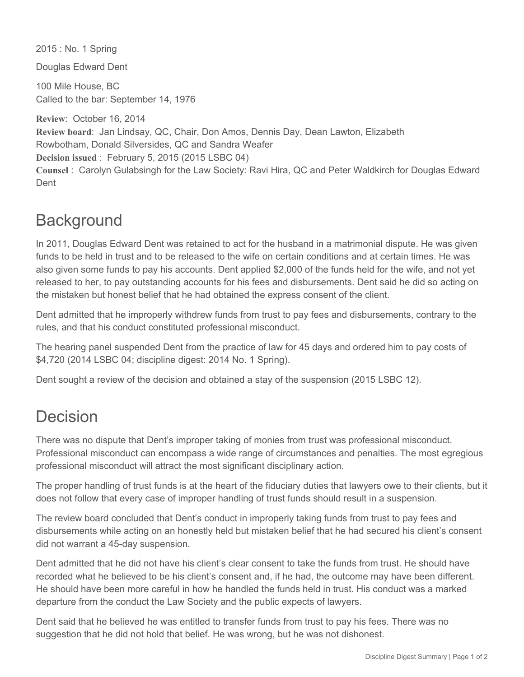2015 : No. 1 Spring

Douglas Edward Dent

100 Mile House, BC Called to the bar: September 14, 1976

**Review**: October 16, 2014 **Review board**: Jan Lindsay, QC, Chair, Don Amos, Dennis Day, Dean Lawton, Elizabeth Rowbotham, Donald Silversides, QC and Sandra Weafer **Decision issued** : February 5, 2015 (2015 LSBC 04) **Counsel** : Carolyn Gulabsingh for the Law Society: Ravi Hira, QC and Peter Waldkirch for Douglas Edward Dent

## **Background**

In 2011, Douglas Edward Dent was retained to act for the husband in a matrimonial dispute. He was given funds to be held in trust and to be released to the wife on certain conditions and at certain times. He was also given some funds to pay his accounts. Dent applied \$2,000 of the funds held for the wife, and not yet released to her, to pay outstanding accounts for his fees and disbursements. Dent said he did so acting on the mistaken but honest belief that he had obtained the express consent of the client.

Dent admitted that he improperly withdrew funds from trust to pay fees and disbursements, contrary to the rules, and that his conduct constituted professional misconduct.

The hearing panel suspended Dent from the practice of law for 45 days and ordered him to pay costs of \$4,720 (2014 LSBC 04; discipline digest: 2014 No. 1 Spring).

Dent sought a review of the decision and obtained a stay of the suspension (2015 LSBC 12).

## Decision

There was no dispute that Dent's improper taking of monies from trust was professional misconduct. Professional misconduct can encompass a wide range of circumstances and penalties. The most egregious professional misconduct will attract the most significant disciplinary action.

The proper handling of trust funds is at the heart of the fiduciary duties that lawyers owe to their clients, but it does not follow that every case of improper handling of trust funds should result in a suspension.

The review board concluded that Dent's conduct in improperly taking funds from trust to pay fees and disbursements while acting on an honestly held but mistaken belief that he had secured his client's consent did not warrant a 45-day suspension.

Dent admitted that he did not have his client's clear consent to take the funds from trust. He should have recorded what he believed to be his client's consent and, if he had, the outcome may have been different. He should have been more careful in how he handled the funds held in trust. His conduct was a marked departure from the conduct the Law Society and the public expects of lawyers.

Dent said that he believed he was entitled to transfer funds from trust to pay his fees. There was no suggestion that he did not hold that belief. He was wrong, but he was not dishonest.